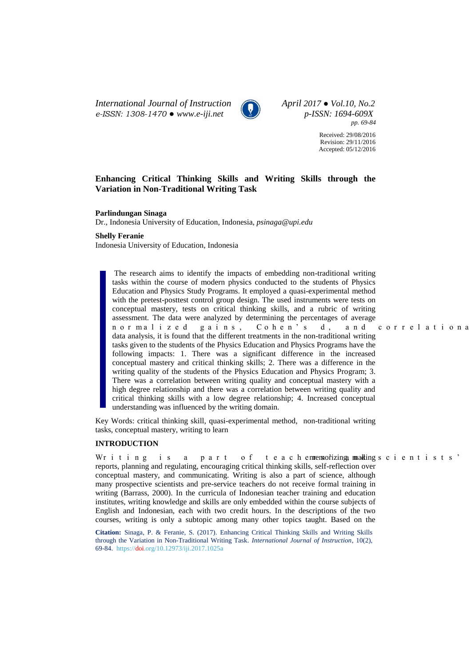*International Journal of Instruction April 2017 ● Vol.10, No.2 e-ISSN: 1308-1470 ● www.e-iji.net p-ISSN: 1694-609X*



*pp. 69-84*

Received: 29/08/2016 Revision: 29/11/2016 Accepted: 05/12/2016

# **Enhancing Critical Thinking Skills and Writing Skills through the Variation in Non-Traditional Writing Task**

**Parlindungan Sinaga**

Dr., Indonesia University of Education, Indonesia, *psinaga@upi.edu*

**Shelly Feranie**

Indonesia University of Education, Indonesia

The research aims to identify the impacts of embedding non-traditional writing tasks within the course of modern physics conducted to the students of Physics Education and Physics Study Programs. It employed a quasi-experimental method with the pretest-posttest control group design. The used instruments were tests on conceptual mastery, tests on critical thinking skills, and a rubric of writing assessment. The data were analyzed by determining the percentages of average normalized gains, Cohen's d, and correlationa data analysis, it is found that the different treatments in the non-traditional writing tasks given to the students of the Physics Education and Physics Programs have the following impacts: 1. There was a significant difference in the increased conceptual mastery and critical thinking skills; 2. There was a difference in the writing quality of the students of the Physics Education and Physics Program; 3. There was a correlation between writing quality and conceptual mastery with a high degree relationship and there was a correlation between writing quality and critical thinking skills with a low degree relationship; 4. Increased conceptual understanding was influenced by the writing domain.

Key Words: critical thinking skill, quasi-experimental method, non-traditional writing tasks, conceptual mastery, writing to learn

### **INTRODUCTION**

Writing is a part of teachemensorizing makings cientists' reports, planning and regulating, encouraging critical thinking skills, self-reflection over conceptual mastery, and communicating. Writing is also a part of science, although many prospective scientists and pre-service teachers do not receive formal training in writing (Barrass, 2000). In the curricula of Indonesian teacher training and education institutes, writing knowledge and skills are only embedded within the course subjects of English and Indonesian, each with two credit hours. In the descriptions of the two courses, writing is only a subtopic among many other topics taught. Based on the

**Citation:** Sinaga, P. & Feranie, S. (2017). Enhancing Critical Thinking Skills and Writing Skills through the Variation in Non-Traditional Writing Task. *International Journal of Instruction*, 10(2), 69-84. https://doi.org/10.12973/iji.2017.1025a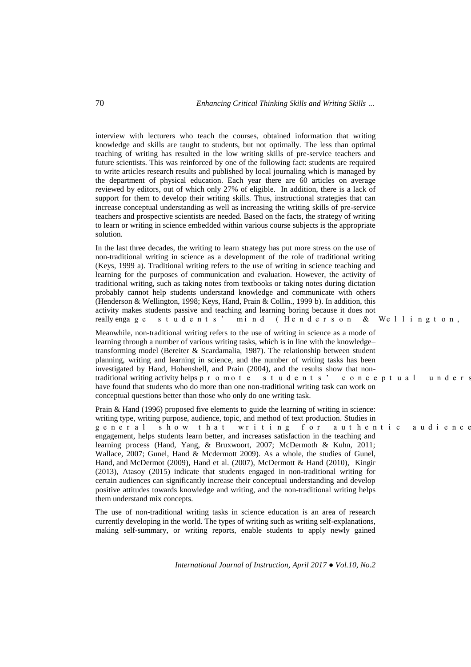interview with lecturers who teach the courses, obtained information that writing knowledge and skills are taught to students, but not optimally. The less than optimal teaching of writing has resulted in the low writing skills of pre-service teachers and future scientists. This was reinforced by one of the following fact: students are required to write articles research results and published by local journaling which is managed by the department of physical education. Each year there are 60 articles on average reviewed by editors, out of which only 27% of eligible. In addition, there is a lack of support for them to develop their writing skills. Thus, instructional strategies that can increase conceptual understanding as well as increasing the writing skills of pre-service teachers and prospective scientists are needed. Based on the facts, the strategy of writing to learn or writing in science embedded within various course subjects is the appropriate solution.

In the last three decades, the writing to learn strategy has put more stress on the use of non-traditional writing in science as a development of the role of traditional writing (Keys, 1999 a). Traditional writing refers to the use of writing in science teaching and learning for the purposes of communication and evaluation. However, the activity of traditional writing, such as taking notes from textbooks or taking notes during dictation probably cannot help students understand knowledge and communicate with others (Henderson & Wellington, 1998; Keys, Hand, Prain & Collin., 1999 b). In addition, this activity makes students passive and teaching and learning boring because it does not really engage students' mind (Henderson & Wellington, Meanwhile, non-traditional writing refers to the use of writing in science as a mode of learning through a number of various writing tasks, which is in line with the knowledge– transforming model (Bereiter & Scardamalia, 1987). The relationship between student planning, writing and learning in science, and the number of writing tasks has been investigated by Hand, Hohenshell, and Prain (2004), and the results show that nontraditional writing activity helps promote students' conceptual unders have found that students who do more than one non-traditional writing task can work on conceptual questions better than those who only do one writing task.

Prain & Hand (1996) proposed five elements to guide the learning of writing in science: writing type, writing purpose, audience, topic, and method of text production. Studies in general show that writing for authentic audiences in various formats increases students' engagement, helps students learn better, and increases satisfaction in the teaching and learning process (Hand, Yang, & Bruxwoort, 2007; McDermoth & Kuhn, 2011; Wallace, 2007; Gunel, Hand & Mcdermott 2009). As a whole, the studies of Gunel, Hand, and McDermot (2009), Hand et al. (2007), McDermott & Hand (2010), Kingir (2013), Atasoy (2015) indicate that students engaged in non-traditional writing for certain audiences can significantly increase their conceptual understanding and develop positive attitudes towards knowledge and writing, and the non-traditional writing helps them understand mix concepts.

The use of non-traditional writing tasks in science education is an area of research currently developing in the world. The types of writing such as writing self-explanations, making self-summary, or writing reports, enable students to apply newly gained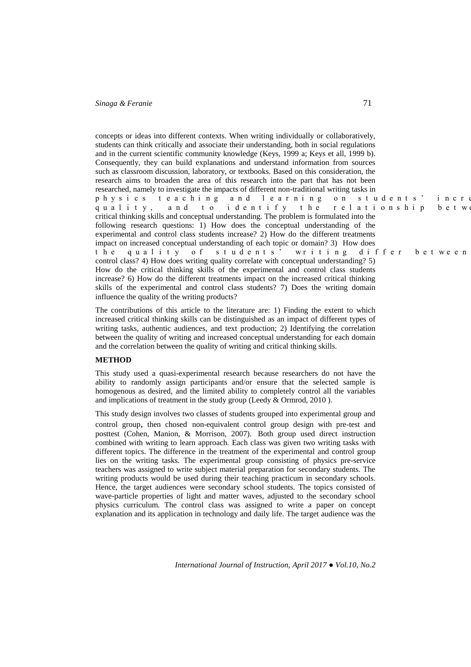concepts or ideas into different contexts. When writing individually or collaboratively, students can think critically and associate their understanding, both in social regulations and in the current scientific community knowledge (Keys, 1999 a; Keys et all, 1999 b). Consequently, they can build explanations and understand information from sources such as classroom discussion, laboratory, or textbooks. Based on this consideration, the research aims to broaden the area of this research into the part that has not been researched, namely to investigate the impacts of different non-traditional writing tasks in physics teaching and learning on students' incre<br>quality, and to identify the relationship betwe and to identify the relationship betwe critical thinking skills and conceptual understanding. The problem is formulated into the following research questions: 1) How does the conceptual understanding of the experimental and control class students increase? 2) How do the different treatments impact on increased conceptual understanding of each topic or domain? 3) How does the quality of students' writing differ between control class? 4) How does writing quality correlate with conceptual understanding? 5) How do the critical thinking skills of the experimental and control class students increase? 6) How do the different treatments impact on the increased critical thinking skills of the experimental and control class students? 7) Does the writing domain influence the quality of the writing products?

The contributions of this article to the literature are: 1) Finding the extent to which increased critical thinking skills can be distinguished as an impact of different types of writing tasks, authentic audiences, and text production; 2) Identifying the correlation between the quality of writing and increased conceptual understanding for each domain and the correlation between the quality of writing and critical thinking skills.

### **METHOD**

This study used a quasi-experimental research because researchers do not have the ability to randomly assign participants and/or ensure that the selected sample is homogenous as desired, and the limited ability to completely control all the variables and implications of treatment in the study group (Leedy & Ormrod, 2010 ).

This study design involves two classes of students grouped into experimental group and control group, then chosed non-equivalent control group design with pre-test and posttest (Cohen, Manion, & Morrison, 2007). Both group used direct instruction combined with writing to learn approach. Each class was given two writing tasks with different topics. The difference in the treatment of the experimental and control group lies on the writing tasks. The experimental group consisting of physics pre-service teachers was assigned to write subject material preparation for secondary students. The writing products would be used during their teaching practicum in secondary schools. Hence, the target audiences were secondary school students. The topics consisted of wave-particle properties of light and matter waves, adjusted to the secondary school physics curriculum. The control class was assigned to write a paper on concept explanation and its application in technology and daily life. The target audience was the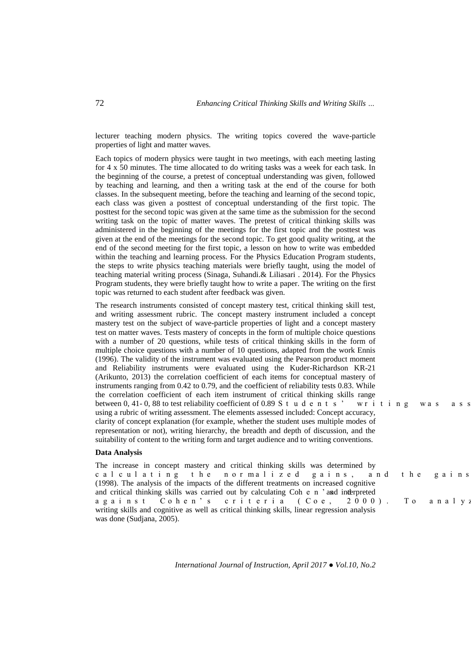lecturer teaching modern physics. The writing topics covered the wave-particle properties of light and matter waves.

Each topics of modern physics were taught in two meetings, with each meeting lasting for 4 x 50 minutes. The time allocated to do writing tasks was a week for each task. In the beginning of the course, a pretest of conceptual understanding was given, followed by teaching and learning, and then a writing task at the end of the course for both classes. In the subsequent meeting, before the teaching and learning of the second topic, each class was given a posttest of conceptual understanding of the first topic. The posttest for the second topic was given at the same time as the submission for the second writing task on the topic of matter waves. The pretest of critical thinking skills was administered in the beginning of the meetings for the first topic and the posttest was given at the end of the meetings for the second topic. To get good quality writing, at the end of the second meeting for the first topic, a lesson on how to write was embedded within the teaching and learning process. For the Physics Education Program students, the steps to write physics teaching materials were briefly taught, using the model of teaching material writing process (Sinaga, Suhandi.& Liliasari . 2014). For the Physics Program students, they were briefly taught how to write a paper. The writing on the first topic was returned to each student after feedback was given.

The research instruments consisted of concept mastery test, critical thinking skill test, and writing assessment rubric. The concept mastery instrument included a concept mastery test on the subject of wave-particle properties of light and a concept mastery test on matter waves. Tests mastery of concepts in the form of multiple choice questions with a number of 20 questions, while tests of critical thinking skills in the form of multiple choice questions with a number of 10 questions, adapted from the work Ennis (1996). The validity of the instrument was evaluated using the Pearson product moment and Reliability instruments were evaluated using the Kuder-Richardson KR-21 (Arikunto, 2013) the correlation coefficient of each items for conceptual mastery of instruments ranging from 0.42 to 0.79, and the coefficient of reliability tests 0.83. While the correlation coefficient of each item instrument of critical thinking skills range between 0, 41- 0, 88 to test reliability coefficient of 0.89 S t u d e n t s ' wr i t i n g was ass using a rubric of writing assessment. The elements assessed included: Concept accuracy, clarity of concept explanation (for example, whether the student uses multiple modes of representation or not), writing hierarchy, the breadth and depth of discussion, and the suitability of content to the writing form and target audience and to writing conventions.

### **Data Analysis**

The increase in concept mastery and critical thinking skills was determined by calculating the normalized gains, and the gains (1998). The analysis of the impacts of the different treatments on increased cognitive and critical thinking skills was carried out by calculating Cohen's and interpreted against Cohen's criteria (Coe, 2000). To analyz writing skills and cognitive as well as critical thinking skills, linear regression analysis was done (Sudjana, 2005).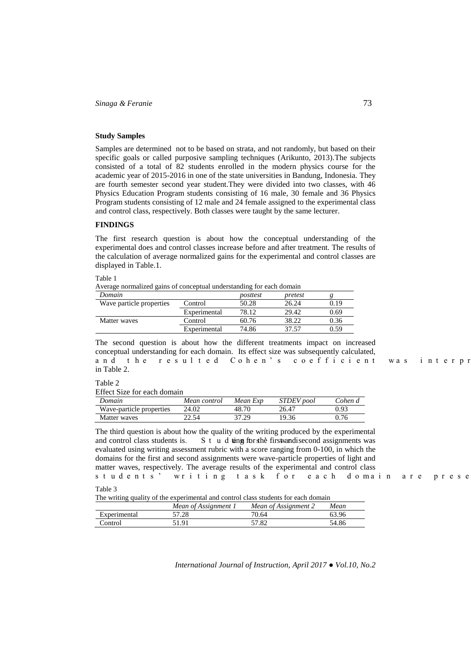# **Study Samples**

Samples are determined not to be based on strata, and not randomly, but based on their specific goals or called purposive sampling techniques (Arikunto, 2013).The subjects consisted of a total of 82 students enrolled in the modern physics course for the academic year of 2015-2016 in one of the state universities in Bandung, Indonesia. They are fourth semester second year student.They were divided into two classes, with 46 Physics Education Program students consisting of 16 male, 30 female and 36 Physics Program students consisting of 12 male and 24 female assigned to the experimental class and control class, respectively. Both classes were taught by the same lecturer.

### **FINDINGS**

The first research question is about how the conceptual understanding of the experimental does and control classes increase before and after treatment. The results of the calculation of average normalized gains for the experimental and control classes are displayed in Table.1.

|--|--|

Average normalized gains of conceptual understanding for each domain

| Domain                   |              | posttest | pretest |      |
|--------------------------|--------------|----------|---------|------|
| Wave particle properties | Control      | 50.28    | 26.24   | 0.19 |
|                          | Experimental | 78.12    | 29.42   | 0.69 |
| Matter waves             | Control      | 60.76    | 38.22   | 0.36 |
|                          | Experimental | 74.86    | 37.57   | 0.59 |

The second question is about how the different treatments impact on increased conceptual understanding for each domain. Its effect size was subsequently calculated, and the resulted Cohen's coefficient was interpr in Table 2.

#### Table 2

Effect Size for each domain

| Domain                   | Mean control | Mean Exp | <i>STDEV</i><br>$'$ <i>pool</i> | ~ohen d |
|--------------------------|--------------|----------|---------------------------------|---------|
| Wave-particle properties | 24.02        | 48.70    | 26.47                           | 0.93    |
| Matter waves             | 22.54        | 27 70    | 19.36                           | ).76    |

The third question is about how the quality of the writing produced by the experimental and control class students is. Students' was time for the first vanishes cond assignments was evaluated using writing assessment rubric with a score ranging from 0-100, in which the domains for the first and second assignments were wave-particle properties of light and matter waves, respectively. The average results of the experimental and control class students' writing task for each domain are prese

Table 3

The writing quality of the experimental and control class students for each domain

|              | Mean of Assignment 1 | Mean of Assignment 2 | Mean  |
|--------------|----------------------|----------------------|-------|
| Experimental | 57.28                | 70.64                | 63.96 |
| Control.     | 51.91                | 57.82                | 54.86 |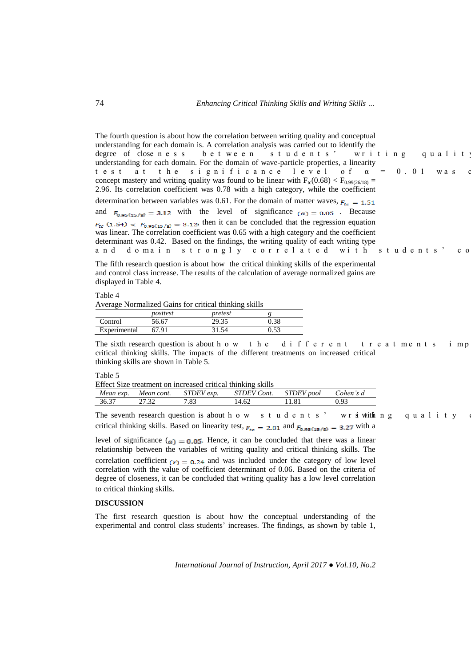The fourth question is about how the correlation between writing quality and conceptual understanding for each domain is. A correlation analysis was carried out to identify the degree of close ness between students' writing qualit understanding for each domain. For the domain of wave-particle properties, a linearity test at the significance level of  $\alpha = 0.01$  was concept mastery and writing quality was found to be linear with  $F_{tc}(0.68) < F_{0.99(26/18)} =$ 2.96. Its correlation coefficient was 0.78 with a high category, while the coefficient determination between variables was 0.61. For the domain of matter waves,  $F_{\text{tc}} = 1.51$ and  $F_{0.95(15/8)} = 3.12$  with the level of significance  $(\alpha) = 0.05$ . Because  $F_{\text{tc}}$  (1.54) <  $F_{0.95(15/8)}$  = 3.12, then it can be concluded that the regression equation was linear. The correlation coefficient was 0.65 with a high category and the coefficient determinant was 0.42. Based on the findings, the writing quality of each writing type and domain strongly correlated with students' co

The fifth research question is about how the critical thinking skills of the experimental and control class increase. The results of the calculation of average normalized gains are displayed in Table 4.

Table 4 Average Normalized Gains for critical thinking skills

|              | posttest | pretest |      |
|--------------|----------|---------|------|
| Control      | 56.67    | 29.35   | 0.38 |
| Experimental | 791      | 31.54   | በ ና3 |

The sixth research question is about how the different treatments imp critical thinking skills. The impacts of the different treatments on increased critical thinking skills are shown in Table 5.

Table 5

|  |  | Effect Size treatment on increased critical thinking skills |
|--|--|-------------------------------------------------------------|
|  |  |                                                             |

| Mean exp. | Mean cont. | $\cdot$ ) $F^{\intercal}$<br>exp. | 'ont | $\mathcal{F}V$<br>pool | ohen               |
|-----------|------------|-----------------------------------|------|------------------------|--------------------|
| 36.37     |            | 7.83                              | 4.62 |                        | . റ $\tau$<br>しょフェ |

The seventh research question is about how students' wr si with ng quality critical thinking skills. Based on linearity test,  $F_{\text{tc}} = 2.81$  and  $F_{0.95(15/8)} = 3.27$  with a

level of significance ( $\alpha$ ) = 0.05. Hence, it can be concluded that there was a linear relationship between the variables of writing quality and critical thinking skills. The correlation coefficient  $(r) = 0.24$  and was included under the category of low level correlation with the value of coefficient determinant of 0.06. Based on the criteria of degree of closeness, it can be concluded that writing quality has a low level correlation to critical thinking skills.

# **DISCUSSION**

The first research question is about how the conceptual understanding of the experimental and control class students'increases. The findings, as shown by table 1,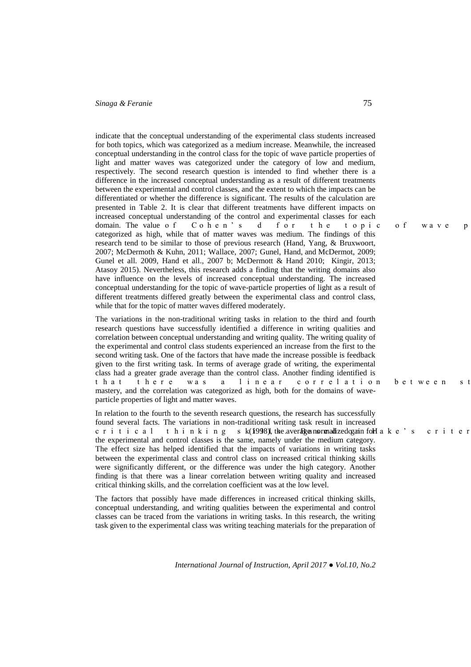indicate that the conceptual understanding of the experimental class students increased for both topics, which was categorized as a medium increase. Meanwhile, the increased conceptual understanding in the control class for the topic of wave particle properties of light and matter waves was categorized under the category of low and medium, respectively. The second research question is intended to find whether there is a difference in the increased conceptual understanding as a result of different treatments between the experimental and control classes, and the extent to which the impacts can be differentiated or whether the difference is significant. The results of the calculation are presented in Table 2. It is clear that different treatments have different impacts on increased conceptual understanding of the control and experimental classes for each domain. The value of Cohen's d for the topic of wave p categorized as high, while that of matter waves was medium. The findings of this research tend to be similar to those of previous research (Hand, Yang, & Bruxwoort, 2007; McDermoth & Kuhn, 2011; Wallace, 2007; Gunel, Hand, and McDermot, 2009; Gunel et all. 2009, Hand et all., 2007 b; McDermott & Hand 2010; Kingir, 2013; Atasoy 2015). Nevertheless, this research adds a finding that the writing domains also have influence on the levels of increased conceptual understanding. The increased conceptual understanding for the topic of wave-particle properties of light as a result of different treatments differed greatly between the experimental class and control class, while that for the topic of matter waves differed moderately.

The variations in the non-traditional writing tasks in relation to the third and fourth research questions have successfully identified a difference in writing qualities and correlation between conceptual understanding and writing quality. The writing quality of the experimental and control class students experienced an increase from the first to the second writing task. One of the factors that have made the increase possible is feedback given to the first writing task. In terms of average grade of writing, the experimental class had a greater grade average than the control class. Another finding identified is that there was a linear correlation between st mastery, and the correlation was categorized as high, both for the domains of waveparticle properties of light and matter waves.

In relation to the fourth to the seventh research questions, the research has successfully found several facts. The variations in non-traditional writing task result in increased critical thinking sk(1998), the average ansormalized ogain fold a ke's criter the experimental and control classes is the same, namely under the medium category. The effect size has helped identified that the impacts of variations in writing tasks between the experimental class and control class on increased critical thinking skills were significantly different, or the difference was under the high category. Another finding is that there was a linear correlation between writing quality and increased critical thinking skills, and the correlation coefficient was at the low level.

The factors that possibly have made differences in increased critical thinking skills, conceptual understanding, and writing qualities between the experimental and control classes can be traced from the variations in writing tasks. In this research, the writing task given to the experimental class was writing teaching materials for the preparation of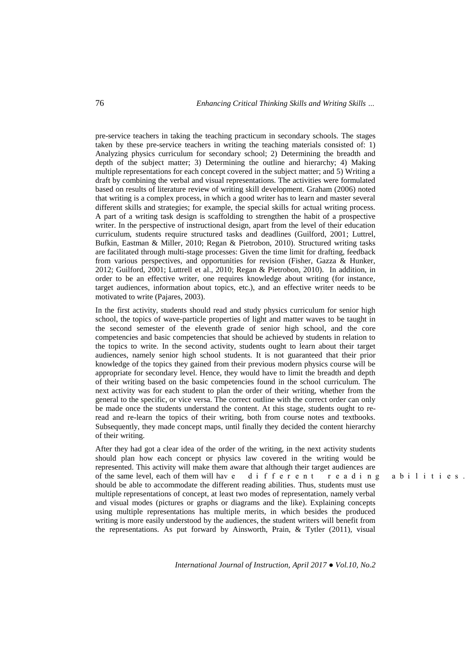pre-service teachers in taking the teaching practicum in secondary schools. The stages taken by these pre-service teachers in writing the teaching materials consisted of: 1) Analyzing physics curriculum for secondary school; 2) Determining the breadth and depth of the subject matter; 3) Determining the outline and hierarchy; 4) Making multiple representations for each concept covered in the subject matter; and 5) Writing a draft by combining the verbal and visual representations. The activities were formulated based on results of literature review of writing skill development. Graham (2006) noted that writing is a complex process, in which a good writer has to learn and master several different skills and strategies; for example, the special skills for actual writing process. A part of a writing task design is scaffolding to strengthen the habit of a prospective writer. In the perspective of instructional design, apart from the level of their education curriculum, students require structured tasks and deadlines (Guilford, 2001; Luttrel, Bufkin, Eastman & Miller, 2010; Regan & Pietrobon, 2010). Structured writing tasks are facilitated through multi-stage processes: Given the time limit for drafting, feedback from various perspectives, and opportunities for revision (Fisher, Gazza & Hunker, 2012; Guilford, 2001; Luttrell et al., 2010; Regan & Pietrobon, 2010). In addition, in order to be an effective writer, one requires knowledge about writing (for instance, target audiences, information about topics, etc.), and an effective writer needs to be motivated to write (Pajares, 2003).

In the first activity, students should read and study physics curriculum for senior high school, the topics of wave-particle properties of light and matter waves to be taught in the second semester of the eleventh grade of senior high school, and the core competencies and basic competencies that should be achieved by students in relation to the topics to write. In the second activity, students ought to learn about their target audiences, namely senior high school students. It is not guaranteed that their prior knowledge of the topics they gained from their previous modern physics course will be appropriate for secondary level. Hence, they would have to limit the breadth and depth of their writing based on the basic competencies found in the school curriculum. The next activity was for each student to plan the order of their writing, whether from the general to the specific, or vice versa. The correct outline with the correct order can only be made once the students understand the content. At this stage, students ought to reread and re-learn the topics of their writing, both from course notes and textbooks. Subsequently, they made concept maps, until finally they decided the content hierarchy of their writing.

After they had got a clear idea of the order of the writing, in the next activity students should plan how each concept or physics law covered in the writing would be represented. This activity will make them aware that although their target audiences are of the same level, each of them will have different reading abilities. should be able to accommodate the different reading abilities. Thus, students must use multiple representations of concept, at least two modes of representation, namely verbal and visual modes (pictures or graphs or diagrams and the like). Explaining concepts using multiple representations has multiple merits, in which besides the produced writing is more easily understood by the audiences, the student writers will benefit from the representations. As put forward by Ainsworth, Prain, & Tytler (2011), visual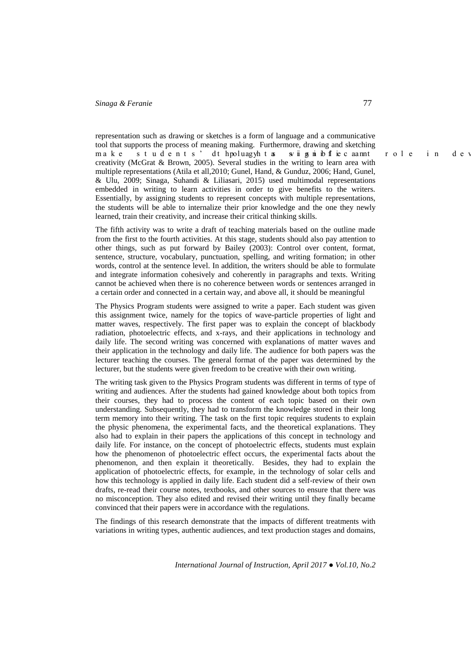representation such as drawing or sketches is a form of language and a communicative tool that supports the process of meaning making. Furthermore, drawing and sketching make students' dthpoluagyhtas signibfiecaannt role in dev creativity (McGrat & Brown, 2005). Several studies in the writing to learn area with multiple representations (Atila et all,2010; Gunel, Hand, & Gunduz, 2006; Hand, Gunel, & Ulu, 2009; Sinaga, Suhandi & Liliasari, 2015) used multimodal representations embedded in writing to learn activities in order to give benefits to the writers. Essentially, by assigning students to represent concepts with multiple representations, the students will be able to internalize their prior knowledge and the one they newly learned, train their creativity, and increase their critical thinking skills.

The fifth activity was to write a draft of teaching materials based on the outline made from the first to the fourth activities. At this stage, students should also pay attention to other things, such as put forward by Bailey (2003): Control over content, format, sentence, structure, vocabulary, punctuation, spelling, and writing formation; in other words, control at the sentence level. In addition, the writers should be able to formulate and integrate information cohesively and coherently in paragraphs and texts. Writing cannot be achieved when there is no coherence between words or sentences arranged in a certain order and connected in a certain way, and above all, it should be meaningful

The Physics Program students were assigned to write a paper. Each student was given this assignment twice, namely for the topics of wave-particle properties of light and matter waves, respectively. The first paper was to explain the concept of blackbody radiation, photoelectric effects, and x-rays, and their applications in technology and daily life. The second writing was concerned with explanations of matter waves and their application in the technology and daily life. The audience for both papers was the lecturer teaching the courses. The general format of the paper was determined by the lecturer, but the students were given freedom to be creative with their own writing.

The writing task given to the Physics Program students was different in terms of type of writing and audiences. After the students had gained knowledge about both topics from their courses, they had to process the content of each topic based on their own understanding. Subsequently, they had to transform the knowledge stored in their long term memory into their writing. The task on the first topic requires students to explain the physic phenomena, the experimental facts, and the theoretical explanations. They also had to explain in their papers the applications of this concept in technology and daily life. For instance, on the concept of photoelectric effects, students must explain how the phenomenon of photoelectric effect occurs, the experimental facts about the phenomenon, and then explain it theoretically. Besides, they had to explain the application of photoelectric effects, for example, in the technology of solar cells and how this technology is applied in daily life. Each student did a self-review of their own drafts, re-read their course notes, textbooks, and other sources to ensure that there was no misconception. They also edited and revised their writing until they finally became convinced that their papers were in accordance with the regulations.

The findings of this research demonstrate that the impacts of different treatments with variations in writing types, authentic audiences, and text production stages and domains,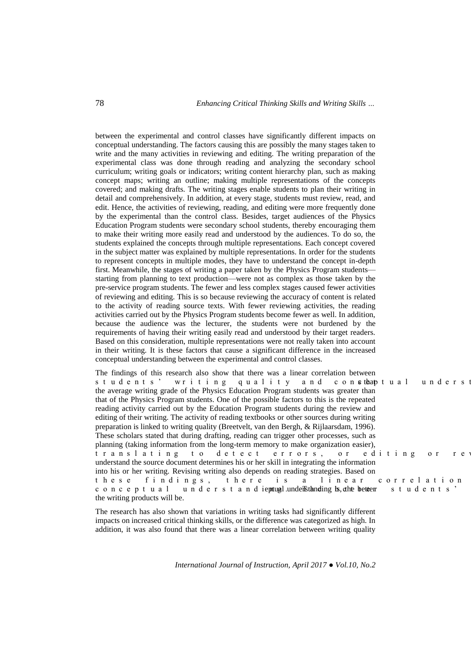between the experimental and control classes have significantly different impacts on conceptual understanding. The factors causing this are possibly the many stages taken to write and the many activities in reviewing and editing. The writing preparation of the experimental class was done through reading and analyzing the secondary school curriculum; writing goals or indicators; writing content hierarchy plan, such as making concept maps; writing an outline; making multiple representations of the concepts covered; and making drafts. The writing stages enable students to plan their writing in detail and comprehensively. In addition, at every stage, students must review, read, and edit. Hence, the activities of reviewing, reading, and editing were more frequently done by the experimental than the control class. Besides, target audiences of the Physics Education Program students were secondary school students, thereby encouraging them to make their writing more easily read and understood by the audiences. To do so, the students explained the concepts through multiple representations. Each concept covered in the subject matter was explained by multiple representations. In order for the students to represent concepts in multiple modes, they have to understand the concept in-depth first. Meanwhile, the stages of writing a paper taken by the Physics Program students starting from planning to text production—were not as complex as those taken by the pre-service program students. The fewer and less complex stages caused fewer activities of reviewing and editing. This is so because reviewing the accuracy of content is related to the activity of reading source texts. With fewer reviewing activities, the reading activities carried out by the Physics Program students become fewer as well. In addition, because the audience was the lecturer, the students were not burdened by the requirements of having their writing easily read and understood by their target readers. Based on this consideration, multiple representations were not really taken into account in their writing. It is these factors that cause a significant difference in the increased conceptual understanding between the experimental and control classes.

The findings of this research also show that there was a linear correlation between s t u d e n t s ' w r i t i n g q u a l i t y a n d c o n s that quality and consthaptual underst the average writing grade of the Physics Education Program students was greater than that of the Physics Program students. One of the possible factors to this is the repeated reading activity carried out by the Education Program students during the review and editing of their writing. The activity of reading textbooks or other sources during writing preparation is linked to writing quality (Breetvelt, van den Bergh, & Rijlaarsdam, 1996). These scholars stated that during drafting, reading can trigger other processes, such as planning (taking information from the long-term memory to make organization easier), translating to detect errors, or editing or understand the source document determines his or her skill in integrating the information into his or her writing. Revising writing also depends on reading strategies. Based on these findings, there is a linear correlation conceptual understandieptual understanding is, othe better students the writing products will be.

The research has also shown that variations in writing tasks had significantly different impacts on increased critical thinking skills, or the difference was categorized as high. In addition, it was also found that there was a linear correlation between writing quality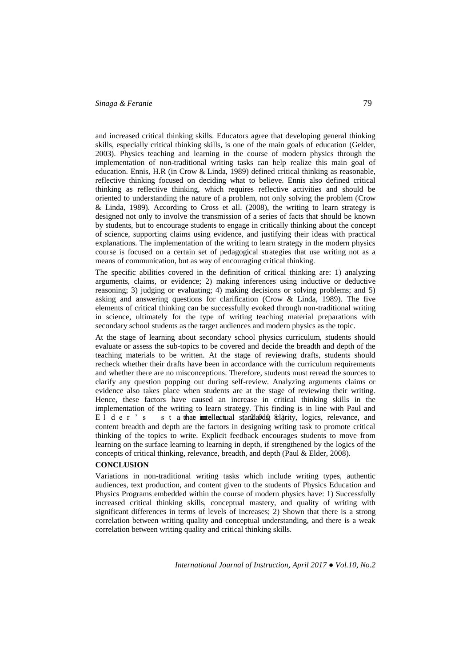and increased critical thinking skills. Educators agree that developing general thinking skills, especially critical thinking skills, is one of the main goals of education (Gelder, 2003). Physics teaching and learning in the course of modern physics through the implementation of non-traditional writing tasks can help realize this main goal of education. Ennis, H.R (in Crow & Linda, 1989) defined critical thinking as reasonable, reflective thinking focused on deciding what to believe. Ennis also defined critical thinking as reflective thinking, which requires reflective activities and should be oriented to understanding the nature of a problem, not only solving the problem (Crow & Linda, 1989). According to Cross et all. (2008), the writing to learn strategy is designed not only to involve the transmission of a series of facts that should be known by students, but to encourage students to engage in critically thinking about the concept of science, supporting claims using evidence, and justifying their ideas with practical explanations. The implementation of the writing to learn strategy in the modern physics course is focused on a certain set of pedagogical strategies that use writing not as a means of communication, but as way of encouraging critical thinking.

The specific abilities covered in the definition of critical thinking are: 1) analyzing arguments, claims, or evidence; 2) making inferences using inductive or deductive reasoning; 3) judging or evaluating; 4) making decisions or solving problems; and 5) asking and answering questions for clarification (Crow & Linda, 1989). The five elements of critical thinking can be successfully evoked through non-traditional writing in science, ultimately for the type of writing teaching material preparations with secondary school students as the target audiences and modern physics as the topic.

At the stage of learning about secondary school physics curriculum, students should evaluate or assess the sub-topics to be covered and decide the breadth and depth of the teaching materials to be written. At the stage of reviewing drafts, students should recheck whether their drafts have been in accordance with the curriculum requirements and whether there are no misconceptions. Therefore, students must reread the sources to clarify any question popping out during self-review. Analyzing arguments claims or evidence also takes place when students are at the stage of reviewing their writing. Hence, these factors have caused an increase in critical thinking skills in the implementation of the writing to learn strategy. This finding is in line with Paul and E  $\vert$  d e r  $\vert$  s s t a that immtellectual standards & larity, logics, relevance, and s t a that intellectual standards, & larity, logics, relevance, and content breadth and depth are the factors in designing writing task to promote critical thinking of the topics to write. Explicit feedback encourages students to move from learning on the surface learning to learning in depth, if strengthened by the logics of the concepts of critical thinking, relevance, breadth, and depth (Paul & Elder, 2008).

# **CONCLUSION**

Variations in non-traditional writing tasks which include writing types, authentic audiences, text production, and content given to the students of Physics Education and Physics Programs embedded within the course of modern physics have: 1) Successfully increased critical thinking skills, conceptual mastery, and quality of writing with significant differences in terms of levels of increases; 2) Shown that there is a strong correlation between writing quality and conceptual understanding, and there is a weak correlation between writing quality and critical thinking skills.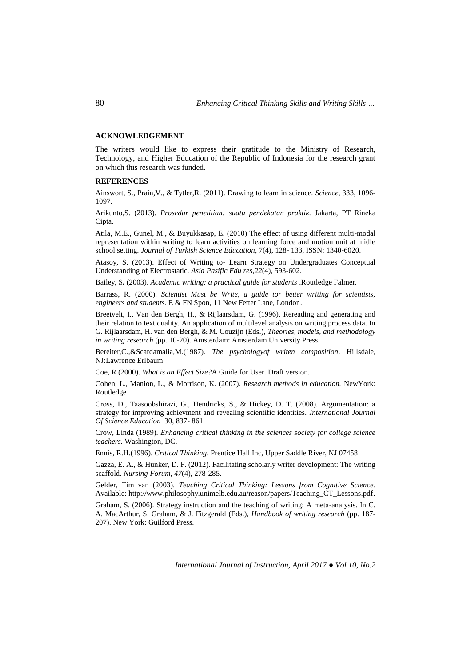## **ACKNOWLEDGEMENT**

The writers would like to express their gratitude to the Ministry of Research, Technology, and Higher Education of the Republic of Indonesia for the research grant on which this research was funded.

### **REFERENCES**

Ainswort, S., Prain,V., & Tytler,R. (2011). Drawing to learn in science. *Science*, 333, 1096- 1097.

Arikunto,S. (2013). *Prosedur penelitian: suatu pendekatan praktik.* Jakarta, PT Rineka Cipta.

Atila, M.E., Gunel, M., & Buyukkasap, E. (2010) The effect of using different multi-modal representation within writing to learn activities on learning force and motion unit at midle school setting. *Journal of Turkish Science Education*, 7(4), 128- 133, ISSN: 1340-6020.

Atasoy, S. (2013). Effect of Writing to- Learn Strategy on Undergraduates Conceptual Understanding of Electrostatic. *Asia Pasific Edu res,22*(4), 593-602.

Bailey, S**.** (2003). *Academic writing: a practical guide for students* .Routledge Falmer.

Barrass, R. (2000). *Scientist Must be Write, a guide tor better writing for scientists, engineers and students*. E & FN Spon, 11 New Fetter Lane, London.

Breetvelt, I., Van den Bergh, H., & Rijlaarsdam, G. (1996). Rereading and generating and their relation to text quality. An application of multilevel analysis on writing process data. In G. Rijlaarsdam, H. van den Bergh, & M. Couzijn (Eds.), *Theories, models, and methodology in writing research* (pp. 10-20). Amsterdam: Amsterdam University Press.

Bereiter,C.,&Scardamalia,M.(1987). *The psychologyof writen composition*. Hillsdale, NJ:Lawrence Erlbaum

Coe, R (2000). *What is an Effect Size?*A Guide for User. Draft version.

Cohen, L., Manion, L., & Morrison, K. (2007). *Research methods in education.* NewYork: Routledge

Cross, D., Taasoobshirazi, G., Hendricks, S., & Hickey, D. T. (2008). Argumentation: a strategy for improving achievment and revealing scientific identities. *International Journal Of Science Education* 30, 837- 861.

Crow, Linda (1989). *Enhancing critical thinking in the sciences society for college science teachers.* Washington, DC.

Ennis, R.H.(1996). *Critical Thinking*. Prentice Hall Inc, Upper Saddle River, NJ 07458

Gazza, E. A., & Hunker, D. F. (2012). Facilitating scholarly writer development: The writing scaffold. *Nursing Forum*, *47*(4), 278-285.

Gelder, Tim van (2003). *Teaching Critical Thinking: Lessons from Cognitive Science*. Available: [http://www.philosophy.unimelb.edu.au/reason/papers/Teaching\\_CT\\_Lessons.pdf.](http://www.philosophy.unimelb.edu.au/reason/papers/Teaching_CT_Lessons.pdf)

Graham, S. (2006). Strategy instruction and the teaching of writing: A meta-analysis. In C. A. MacArthur, S. Graham, & J. Fitzgerald (Eds.), *Handbook of writing research* (pp. 187- 207). New York: Guilford Press.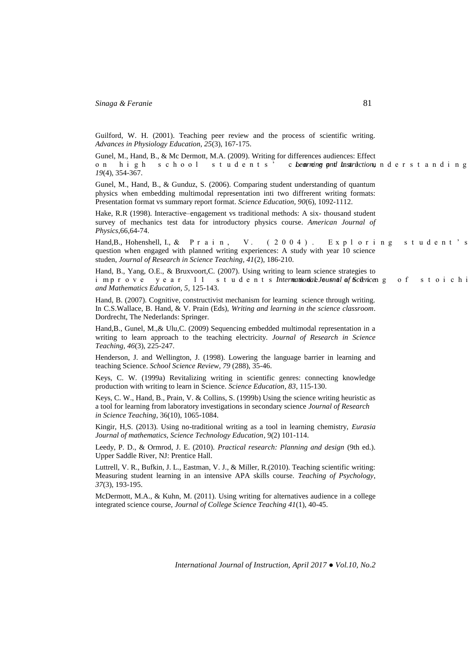Guilford, W. H. (2001). Teaching peer review and the process of scientific writing. *Advances in Physiology Education*, *25*(3), 167-175.

Gunel, M., Hand, B., & Mc Dermott, M.A. (2009). Writing for differences audiences: Effect<br>on high school students' c beauvaing prul linear hicrony on high school students' c*hearning and Instruction*, nderstanding *19*(4), 354-367.

Gunel, M., Hand, B., & Gunduz, S. (2006). Comparing student understanding of quantum physics when embedding multimodal representation inti two diffrerent writing formats: Presentation format vs summary report format. *Science Education, 90*(6), 1092-1112.

Hake, R.R (1998). Interactive–engagement vs traditional methods: A six- thousand student survey of mechanics test data for introductory physics course. *American Journal of Physics*,66,64-74.

Hand,B., Hohenshell, I., & Prain, V.  $(2004)$ . Exploring student's question when engaged with planned writing experiences: A study with year 10 science studen, *Journal of Research in Science Teaching, 41*(2), 186-210.

Hand, B., Yang, O.E., & Bruxvoort,C. (2007). Using writing to learn science strategies to improve year 11 students*International ale Journal of Science*ng of stoichi *and Mathematics Education, 5,* 125-143.

Hand, B. (2007). Cognitive, constructivist mechanism for learning science through writing. In C.S.Wallace, B. Hand, & V. Prain (Eds), *Writing and learning in the science classroom*. Dordrecht, The Nederlands: Springer.

Hand,B., Gunel, M.,& Ulu,C. (2009) Sequencing embedded multimodal representation in a writing to learn approach to the teaching electricity. *Journal of Research in Science Teaching, 46*(3), 225-247.

Henderson, J. and Wellington, J. (1998). Lowering the language barrier in learning and teaching Science. *School Science Review, 79* (288), 35-46.

Keys, C. W. (1999a) Revitalizing writing in scientific genres: connecting knowledge production with writing to learn in Science. *Science Education, 83*, 115-130.

Keys, C. W., Hand, B., Prain, V. & Collins, S. (1999b) Using the science writing heuristic as a tool for learning from laboratory investigations in secondary science *Journal of Research in Science Teaching*, 36(10), 1065-1084.

Kingir, H,S. (2013). Using no-traditional writing as a tool in learning chemistry, *Eurasia Journal of mathematics, Science Technology Education*, 9(2) 101-114.

Leedy, P. D., & Ormrod, J. E. (2010). *Practical research: Planning and design* (9th ed.). Upper Saddle River, NJ: Prentice Hall.

Luttrell, V. R., Bufkin, J. L., Eastman, V. J., & Miller, R.(2010). Teaching scientific writing: Measuring student learning in an intensive APA skills course. *Teaching of Psychology*, *37*(3), 193-195.

McDermott, M.A., & Kuhn, M. (2011). Using writing for alternatives audience in a college integrated science course, *Journal of College Science Teaching 41*(1), 40-45.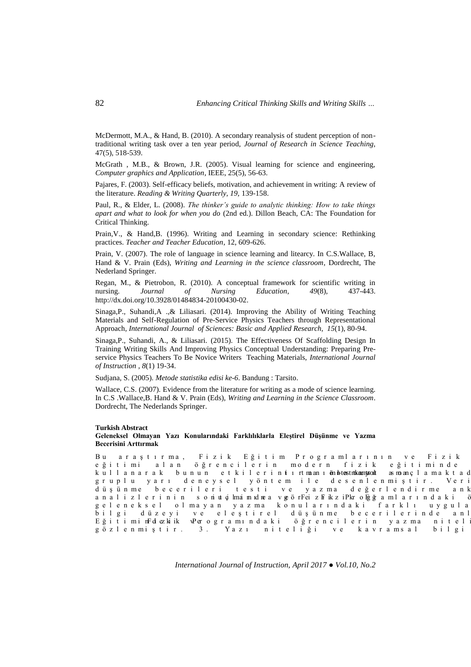McDermott, M.A., & Hand, B. (2010). A secondary reanalysis of student perception of nontraditional writing task over a ten year period, *Journal of Research in Science Teaching,*  47(5), 518-539.

McGrath , M.B., & Brown, J.R. (2005). Visual learning for science and engineering, *Computer graphics and Application*, IEEE, 25(5), 56-63.

Pajares, F. (2003). Self-efficacy beliefs, motivation, and achievement in writing: A review of the literature. *Reading & Writing Quarterly, 19,* 139-158.

Paul, R., & Elder, L. (2008). *The thinker's guide to analytic thinking: How to take things apart and what to look for when you do* (2nd ed.). Dillon Beach, CA: The Foundation for Critical Thinking.

Prain,V., & Hand,B. (1996). Writing and Learning in secondary science: Rethinking practices. *Teacher and Teacher Education*, 12, 609-626.

Prain, V. (2007). The role of language in science learning and litearcy. In C.S.Wallace, B, Hand & V. Prain (Eds), *Writing and Learning in the science classroom*, Dordrecht, The Nederland Springer.

Regan, M., & Pietrobon, R. (2010). A conceptual framework for scientific writing in nursing. *Journal of Nursing Education*, *49*(8), 437-443. [http://dx.doi.org/10.3928/01484834-20100430-02.](http://dx.doi.org/10.3928/01484834-20100430-02)

Sinaga*,*P., Suhandi,A .,& Liliasari. (2014). Improving the Ability of Writing Teaching Materials and Self-Regulation of Pre-Service Physics Teachers through Representational Approach, *International Journal of Sciences: Basic and Applied Research, 15*(1), 80-94.

Sinaga,P., Suhandi, A., & Liliasari. (2015). The Effectiveness Of Scaffolding Design In Training Writing Skills And Improving Physics Conceptual Understanding: Preparing Preservice Physics Teachers To Be Novice Writers Teaching Materials, *International Journal of Instruction , 8*(1) 19-34.

Sudjana, S. (2005). *Metode statistika edisi ke-6*. Bandung : Tarsito.

Wallace, C.S. (2007). Evidence from the literature for writing as a mode of science learning. In C.S .Wallace,B. Hand & V. Prain (Eds), *Writing and Learning in the Science Classroom*. Dordrecht, The Nederlands Springer.

#### **Turkish Abstract**

#### **Geleneksel Olmayan Yazı Konularındaki Farklılıklarla Eleştirel Düşünme ve Yazma Becerisini Arttırmak**

Bu araştırma, Fizik Eğitim Programlarının ve Fizik eğitimi alan öğrencilerin modern fizik eğitiminde kullanarak bunun etkilerin**i** ırtmaanı **ön htest ttkaoniysout** asmançlamaktad gruplu yarı deneysel yöntem ile desenlenmiştir. Veri<br>düşünme becerileri testi ve yazma değerlendirme ank düşünme becerileri testi ve yazma değerlendirme ank analizlerinin sonuçlmamıdıra vgeörFeizlik ziPkroleğamlarındaki ö geleneksel olmayan yazma konularındaki farklı uygula bilgi düzeyi ve eleştirel düşünme becerilerinde anl EğitiminFdezkik vPerogramındaki öğrencilerin yazma niteli gözlenmiştir. 3. Yazı niteliği ve kavramsal bilgi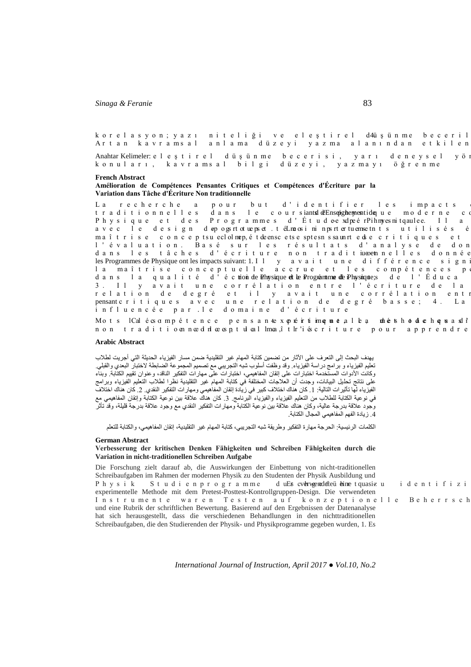korelasyon; yazı niteliği ve eleştirel d4üşünme beceril Artan kavramsal anlama düzeyi yazma alanından etkilen

Anahtar Kelimeler: eleştirel düşünme becerisi, yarı deneysel yön konuları, kavramsal bilgi düzeyi, yazmayı öğrenme

#### **French Abstract**

### **Amélioration de Compétences Pensantes Critiques et Compétences d'Écriture par la Variation dans Tâche d'Écriture Non traditionnelle**

La recherche a pour but d'identifier les impacts<br>traditionnelles dans le coursiants de Ensepignementideque moderne le coursiants de Enseignement ideque moderne co Physique et des Programmes d'Étude de AdpeérPinnyesnitqaulee. Il a avec le design depogsrtotuenset téLmeosinin psrter tuense tn t sutilisés é maîtrise conceptsueclolmep, ét de enscets e sptesn s saunt edse critiques et l'évaluation. Basé sur les résultats d'analyse de don dans les tâches d'écriture non traditiucoennelles donnée les Programmes de Physique ont les impacts suivant: 1. Ily avait une différence signi la maîtrise conceptuelle accrue et les compétences pe dans la qualité d'éc $t$ ion de Physique et le Prográmme de Physique;s de l'Éduca 3. Il y avait une corrélation entre l'écriture de la relation de degré et il y avait une corrélation entr pensant critiques avec une relation de degré basse; 4. La influencée par le domaine d'écriture

Mots lCal écs ampétence pensantex opéritimente al ba méthodie herasdi non traditioennee dre esptuleal lmea,îthr'i és criture pour apprendre

#### **Arabic Abstract**

**Δ**<br>Δίδια Δεν θέα από την προσειχή στο προσειχή στο προσειχή στο προσειχή στο προσειχή στο προσειχή στο προσειχόμεν<br>Προσειχή στο προσειχή στο προσειχή στο προσειχή στο προσειχή στο προσειχή στο προσειχή στο προσειχή στο π

يهدف البحث إلى التعرف على اآلثار من تضمين كتابة المهام غير التقليدية ضمن مسار الفيزياء الحديثة التي أجريت لطالب تعليم الفيزياء و برامج دراسة الفيزياء. وقد وظفت أسلوب شبه التجريبي مع تصميم المجموعة الضابطة الختبار البعدي والقبلي. وكانت األدوات المستخدمة اختبارات على إتقان المفاهيمي، اختبارات على مهارات التفكير الناقد، وعنوان تقييم الكتابة. وبناء على نتائج تحليل البيانات، وجدت أن العالجات المختلفة في كتابة المهام غير التقليدية نظرا لطالب التعليم الفيزياء وبرامج الفيزياء لّها تأثيرات التالية: 1 ـ كان هناك اختلاف كبير في زيادة إتقان المفاهيمي ومهارات التفكير النقدي. 2 كان هناك اختلاف في نوعية الكتابة للطلاب من التعليم الفيزياء والفيزياء البرنامج. 3 كان هناك علاقة بين نوعية الكتابة وإتقان المفاهيمي مع وجود عالقة بدرجة عالية، وكان هناك عالقة بين نوعية الكتابة ومهارات التفكير النقدي مع وجود عالقة بدرجة قليلة، وقد تأثر .4 زيادة الفهم المفاهيمي المجال الكتابة.

الكلمات الرئيسية: الحرجة مهارة التفكير وطريقة شبه التجريبي، كتابة المهام غير التقليدية، إتقان المفاهيمي، والكتابة للتعلم

#### **German Abstract**

#### **Verbesserung der kritischen Denken Fähigkeiten und Schreiben Fähigkeiten durch die Variation in nicht-traditionellen Schreiben Aufgabe**

Die Forschung zielt darauf ab, die Auswirkungen der Einbettung von nicht-traditionellen Schreibaufgaben im Rahmen der modernen Physik zu den Studenten der Physik Ausbildung und Physik Studienprogramme du Es cverwenede fleui eine tquasizu identifizi experimentelle Methode mit dem Pretest-Posttest-Kontrollgruppen-Design. Die verwendeten Instrumente waren Testen auf konzeptionelle Beherrsch und eine Rubrik der schriftlichen Bewertung. Basierend auf den Ergebnissen der Datenanalyse hat sich herausgestellt, dass die verschiedenen Behandlungen in den nichttraditionellen Schreibaufgaben, die den Studierenden der Physik- und Physikprogramme gegeben wurden, 1. Es